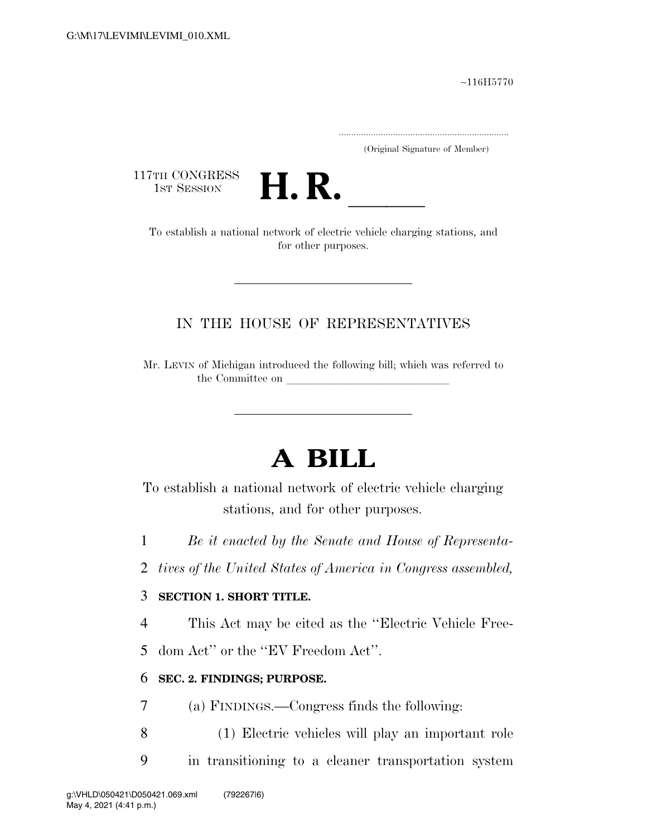∼116H5770

.....................................................................

(Original Signature of Member)

117TH CONGRESS<br>1st Session



TH CONGRESS<br>
1st SESSION<br>
To establish a national network of electric vehicle charging stations, and for other purposes.

## IN THE HOUSE OF REPRESENTATIVES

Mr. LEVIN of Michigan introduced the following bill; which was referred to the Committee on

## **A BILL**

To establish a national network of electric vehicle charging stations, and for other purposes.

1 *Be it enacted by the Senate and House of Representa-*

2 *tives of the United States of America in Congress assembled,* 

## 3 **SECTION 1. SHORT TITLE.**

4 This Act may be cited as the ''Electric Vehicle Free-

5 dom Act'' or the ''EV Freedom Act''.

## 6 **SEC. 2. FINDINGS; PURPOSE.**

- 7 (a) FINDINGS.—Congress finds the following:
- 8 (1) Electric vehicles will play an important role
- 9 in transitioning to a cleaner transportation system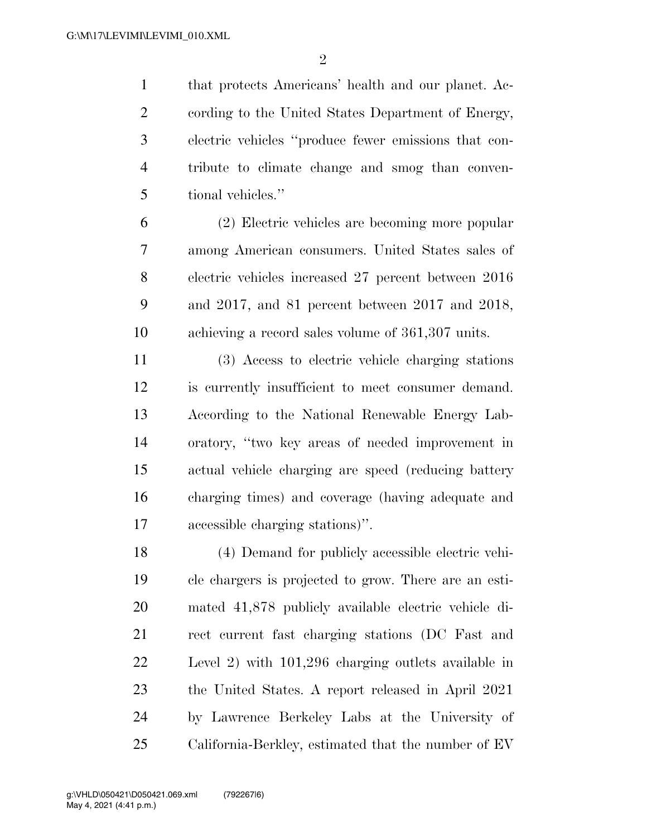that protects Americans' health and our planet. Ac- cording to the United States Department of Energy, electric vehicles ''produce fewer emissions that con- tribute to climate change and smog than conven-tional vehicles.''

 (2) Electric vehicles are becoming more popular among American consumers. United States sales of electric vehicles increased 27 percent between 2016 and 2017, and 81 percent between 2017 and 2018, achieving a record sales volume of 361,307 units.

 (3) Access to electric vehicle charging stations is currently insufficient to meet consumer demand. According to the National Renewable Energy Lab- oratory, ''two key areas of needed improvement in actual vehicle charging are speed (reducing battery charging times) and coverage (having adequate and accessible charging stations)''.

 (4) Demand for publicly accessible electric vehi- cle chargers is projected to grow. There are an esti- mated 41,878 publicly available electric vehicle di- rect current fast charging stations (DC Fast and Level 2) with 101,296 charging outlets available in the United States. A report released in April 2021 by Lawrence Berkeley Labs at the University of California-Berkley, estimated that the number of EV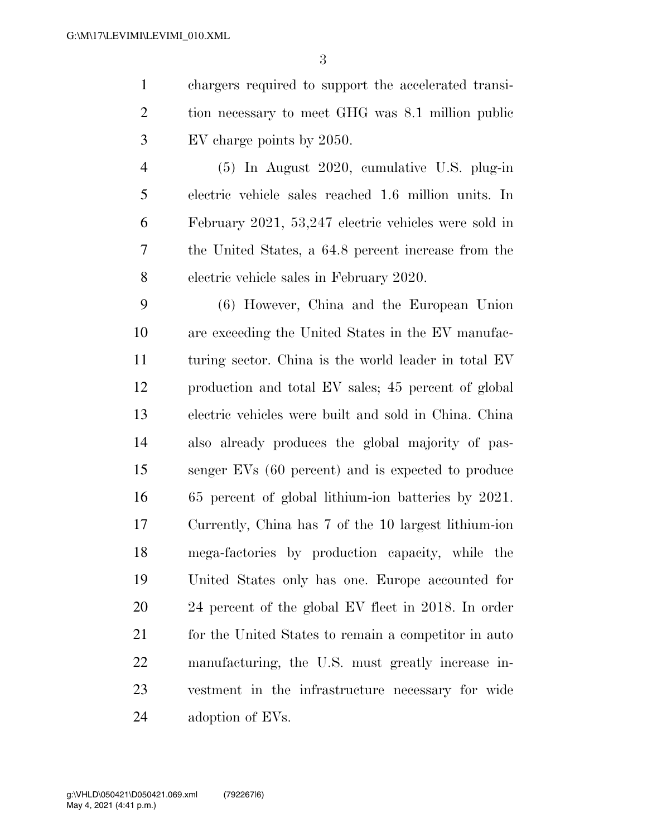chargers required to support the accelerated transi- tion necessary to meet GHG was 8.1 million public EV charge points by 2050.

 (5) In August 2020, cumulative U.S. plug-in electric vehicle sales reached 1.6 million units. In February 2021, 53,247 electric vehicles were sold in the United States, a 64.8 percent increase from the electric vehicle sales in February 2020.

 (6) However, China and the European Union are exceeding the United States in the EV manufac-11 turing sector. China is the world leader in total EV production and total EV sales; 45 percent of global electric vehicles were built and sold in China. China also already produces the global majority of pas- senger EVs (60 percent) and is expected to produce 65 percent of global lithium-ion batteries by 2021. Currently, China has 7 of the 10 largest lithium-ion mega-factories by production capacity, while the United States only has one. Europe accounted for 24 percent of the global EV fleet in 2018. In order 21 for the United States to remain a competitor in auto manufacturing, the U.S. must greatly increase in- vestment in the infrastructure necessary for wide adoption of EVs.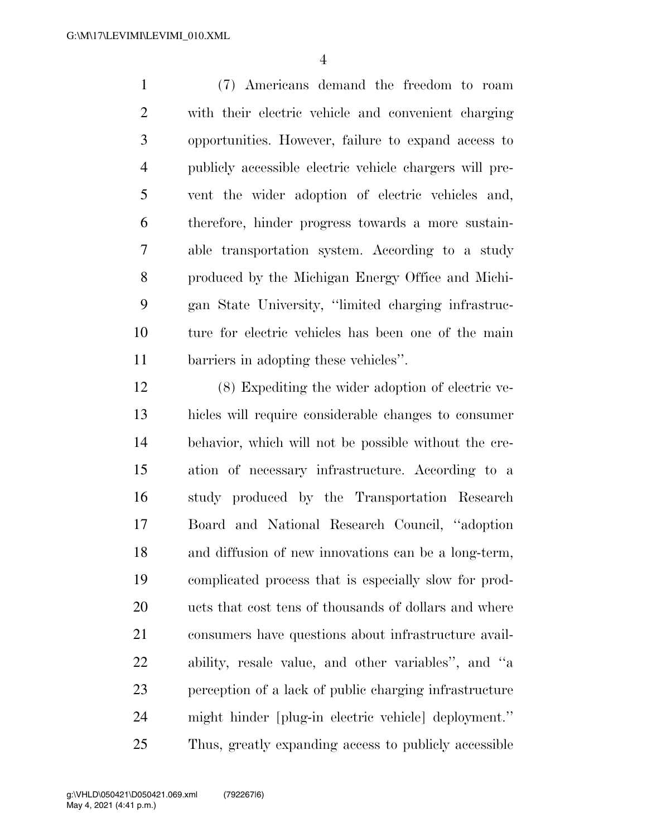(7) Americans demand the freedom to roam with their electric vehicle and convenient charging opportunities. However, failure to expand access to publicly accessible electric vehicle chargers will pre- vent the wider adoption of electric vehicles and, therefore, hinder progress towards a more sustain- able transportation system. According to a study produced by the Michigan Energy Office and Michi- gan State University, ''limited charging infrastruc- ture for electric vehicles has been one of the main barriers in adopting these vehicles''.

 (8) Expediting the wider adoption of electric ve- hicles will require considerable changes to consumer behavior, which will not be possible without the cre- ation of necessary infrastructure. According to a study produced by the Transportation Research Board and National Research Council, ''adoption and diffusion of new innovations can be a long-term, complicated process that is especially slow for prod-20 ucts that cost tens of thousands of dollars and where consumers have questions about infrastructure avail- ability, resale value, and other variables'', and ''a perception of a lack of public charging infrastructure might hinder [plug-in electric vehicle] deployment.'' Thus, greatly expanding access to publicly accessible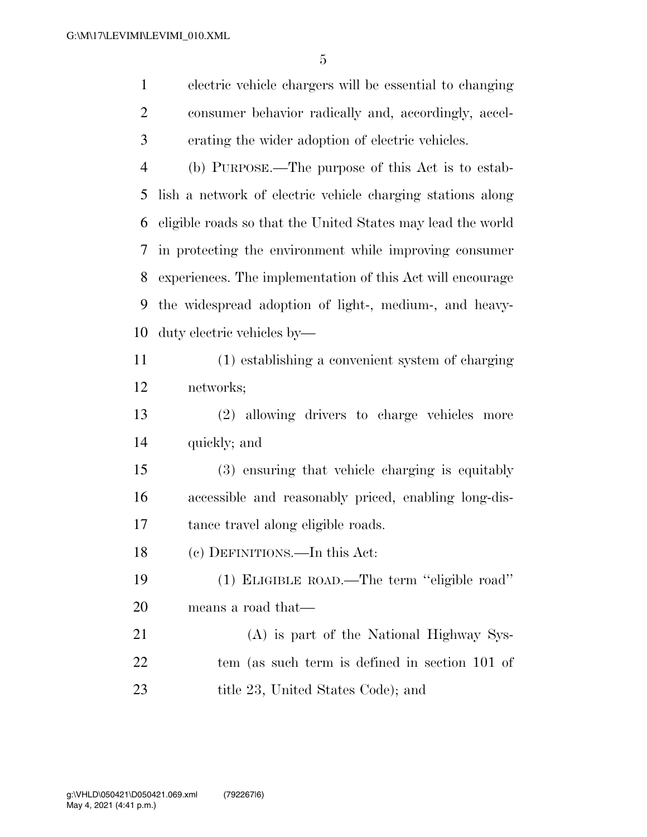electric vehicle chargers will be essential to changing consumer behavior radically and, accordingly, accel- erating the wider adoption of electric vehicles. (b) PURPOSE.—The purpose of this Act is to estab- lish a network of electric vehicle charging stations along eligible roads so that the United States may lead the world in protecting the environment while improving consumer experiences. The implementation of this Act will encourage the widespread adoption of light-, medium-, and heavy-duty electric vehicles by—

 (1) establishing a convenient system of charging networks;

 (2) allowing drivers to charge vehicles more quickly; and

 (3) ensuring that vehicle charging is equitably accessible and reasonably priced, enabling long-dis-tance travel along eligible roads.

(c) DEFINITIONS.—In this Act:

 (1) ELIGIBLE ROAD.—The term ''eligible road'' means a road that—

 (A) is part of the National Highway Sys- tem (as such term is defined in section 101 of 23 title 23, United States Code); and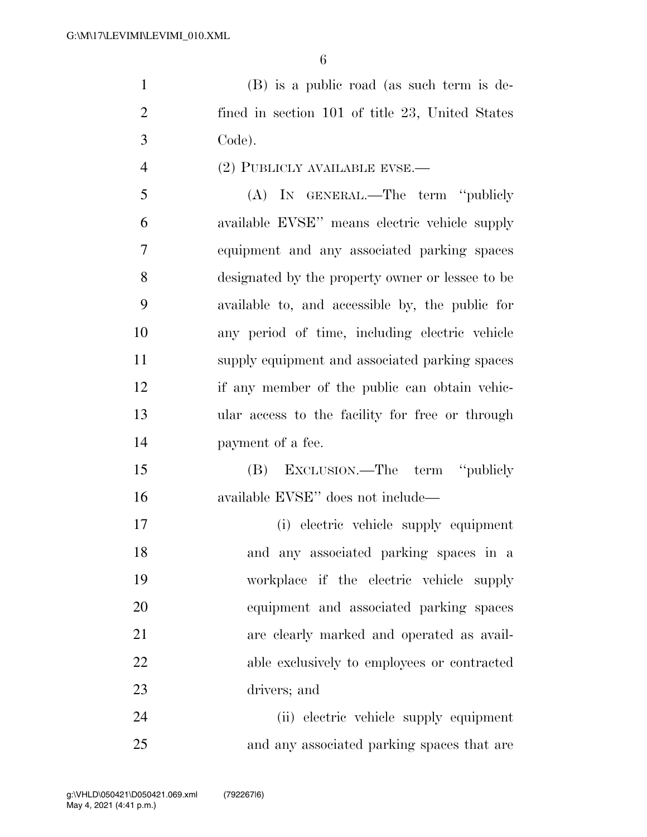(B) is a public road (as such term is de- fined in section 101 of title 23, United States Code).

4 (2) PUBLICLY AVAILABLE EVSE.—

 (A) IN GENERAL.—The term ''publicly available EVSE'' means electric vehicle supply equipment and any associated parking spaces designated by the property owner or lessee to be available to, and accessible by, the public for any period of time, including electric vehicle supply equipment and associated parking spaces if any member of the public can obtain vehic- ular access to the facility for free or through payment of a fee.

 (B) EXCLUSION.—The term ''publicly available EVSE'' does not include—

 (i) electric vehicle supply equipment and any associated parking spaces in a workplace if the electric vehicle supply equipment and associated parking spaces are clearly marked and operated as avail- able exclusively to employees or contracted drivers; and

 (ii) electric vehicle supply equipment and any associated parking spaces that are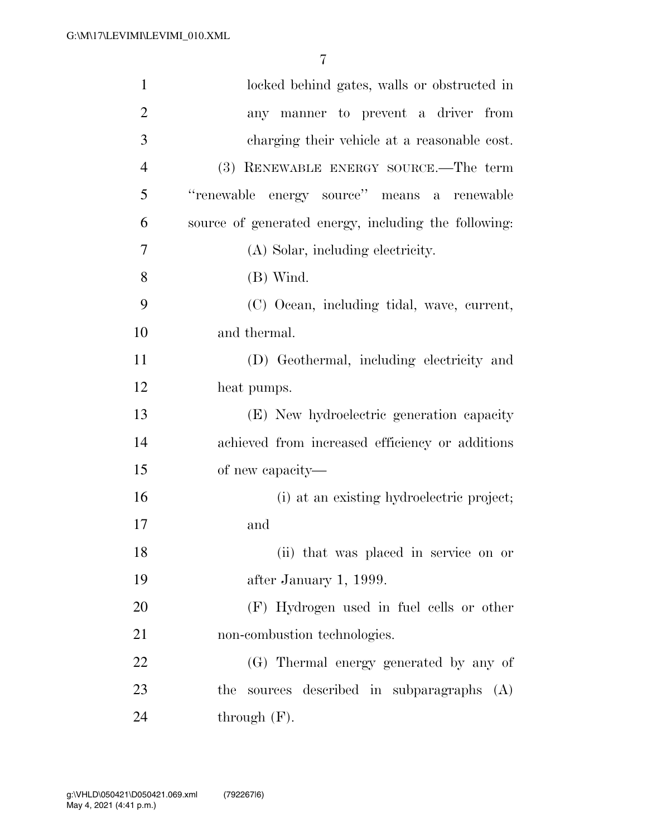| $\mathbf{1}$   | locked behind gates, walls or obstructed in          |
|----------------|------------------------------------------------------|
| $\overline{2}$ | any manner to prevent a driver from                  |
| 3              | charging their vehicle at a reasonable cost.         |
| $\overline{4}$ | (3) RENEWABLE ENERGY SOURCE.—The term                |
| 5              | "renewable energy source" means a renewable          |
| 6              | source of generated energy, including the following: |
| 7              | (A) Solar, including electricity.                    |
| 8              | $(B)$ Wind.                                          |
| 9              | (C) Ocean, including tidal, wave, current,           |
| 10             | and thermal.                                         |
| 11             | (D) Geothermal, including electricity and            |
| 12             | heat pumps.                                          |
| 13             | (E) New hydroelectric generation capacity            |
| 14             | achieved from increased efficiency or additions      |
| 15             | of new capacity—                                     |
| 16             | (i) at an existing hydroelectric project;            |
| 17             | and                                                  |
| 18             | (ii) that was placed in service on or                |
| 19             | after January 1, 1999.                               |
| 20             | (F) Hydrogen used in fuel cells or other             |
| 21             | non-combustion technologies.                         |
| 22             | (G) Thermal energy generated by any of               |
| 23             | sources described in subparagraphs (A)<br>the        |
| 24             | through $(F)$ .                                      |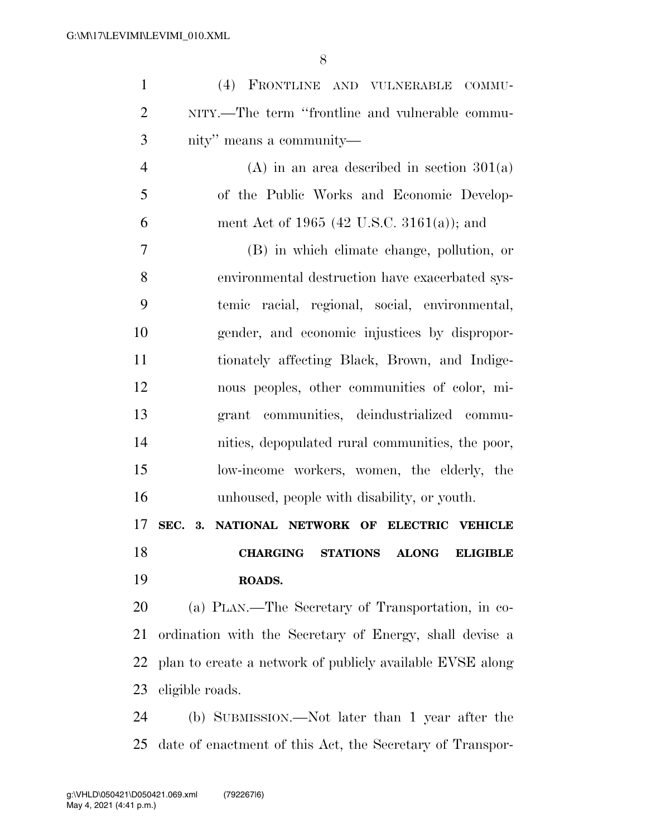| $\mathbf{1}$   | (4) FRONTLINE AND VULNERABLE COMMU-                       |
|----------------|-----------------------------------------------------------|
| $\overline{2}$ | NITY.—The term "frontline and vulnerable commu-           |
| 3              | nity" means a community—                                  |
| $\overline{4}$ | $(A)$ in an area described in section 301(a)              |
| 5              | of the Public Works and Economic Develop-                 |
| 6              | ment Act of 1965 (42 U.S.C. 3161(a)); and                 |
| 7              | (B) in which elimate change, pollution, or                |
| 8              | environmental destruction have exacerbated sys-           |
| 9              | temic racial, regional, social, environmental,            |
| 10             | gender, and economic injustices by dispropor-             |
| 11             | tionately affecting Black, Brown, and Indige-             |
| 12             | nous peoples, other communities of color, mi-             |
| 13             | grant communities, deindustrialized commu-                |
| 14             | nities, depopulated rural communities, the poor,          |
| 15             | low-income workers, women, the elderly, the               |
| 16             | unhoused, people with disability, or youth.               |
| 17             | SEC.<br>NATIONAL NETWORK OF ELECTRIC VEHICLE<br>3.        |
| 18             | <b>CHARGING STATIONS ALONG ELIGIBLE</b>                   |
| 19             | ROADS.                                                    |
| 20             | (a) PLAN.—The Secretary of Transportation, in co-         |
| 21             | ordination with the Secretary of Energy, shall devise a   |
| 22             | plan to create a network of publicly available EVSE along |
| 23             | eligible roads.                                           |
| 24             | (b) SUBMISSION.—Not later than 1 year after the           |
| 25             | date of enactment of this Act, the Secretary of Transpor- |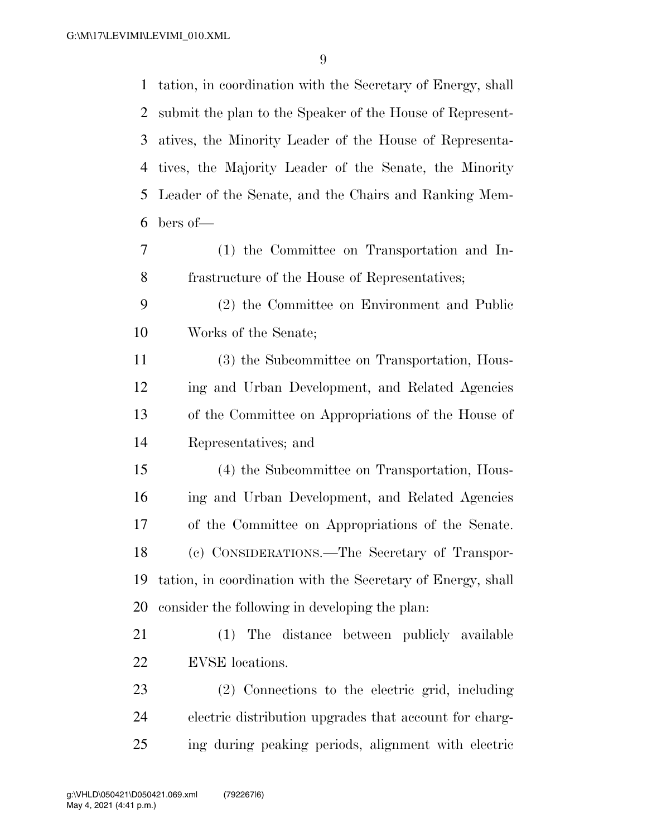tation, in coordination with the Secretary of Energy, shall submit the plan to the Speaker of the House of Represent- atives, the Minority Leader of the House of Representa- tives, the Majority Leader of the Senate, the Minority Leader of the Senate, and the Chairs and Ranking Mem-bers of—

- (1) the Committee on Transportation and In-frastructure of the House of Representatives;
- (2) the Committee on Environment and Public Works of the Senate;

 (3) the Subcommittee on Transportation, Hous- ing and Urban Development, and Related Agencies of the Committee on Appropriations of the House of Representatives; and

 (4) the Subcommittee on Transportation, Hous- ing and Urban Development, and Related Agencies of the Committee on Appropriations of the Senate. (c) CONSIDERATIONS.—The Secretary of Transpor- tation, in coordination with the Secretary of Energy, shall consider the following in developing the plan:

 (1) The distance between publicly available EVSE locations.

 (2) Connections to the electric grid, including electric distribution upgrades that account for charg-ing during peaking periods, alignment with electric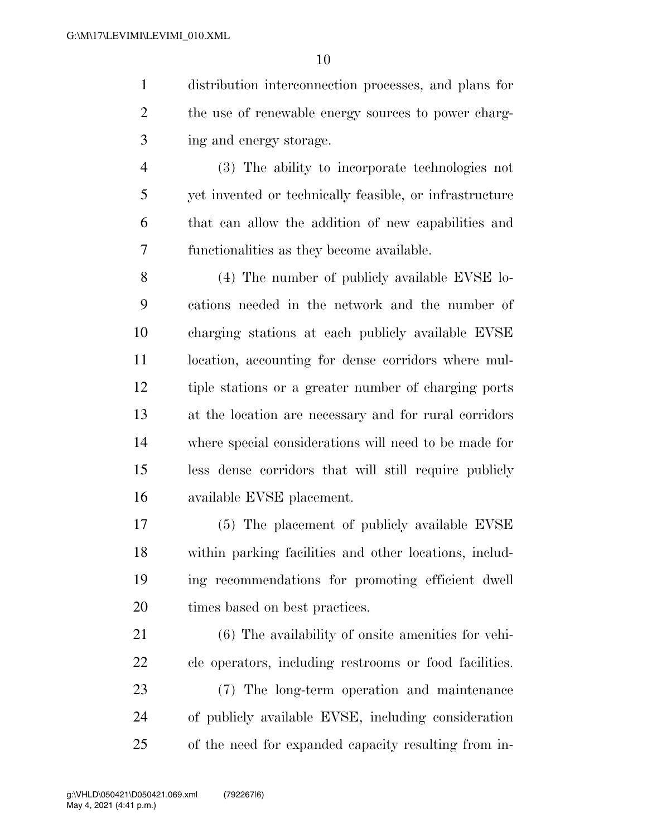distribution interconnection processes, and plans for 2 the use of renewable energy sources to power charg-ing and energy storage.

 (3) The ability to incorporate technologies not yet invented or technically feasible, or infrastructure that can allow the addition of new capabilities and functionalities as they become available.

 (4) The number of publicly available EVSE lo- cations needed in the network and the number of charging stations at each publicly available EVSE location, accounting for dense corridors where mul- tiple stations or a greater number of charging ports at the location are necessary and for rural corridors where special considerations will need to be made for less dense corridors that will still require publicly available EVSE placement.

 (5) The placement of publicly available EVSE within parking facilities and other locations, includ- ing recommendations for promoting efficient dwell times based on best practices.

 (6) The availability of onsite amenities for vehi- cle operators, including restrooms or food facilities. (7) The long-term operation and maintenance of publicly available EVSE, including consideration of the need for expanded capacity resulting from in-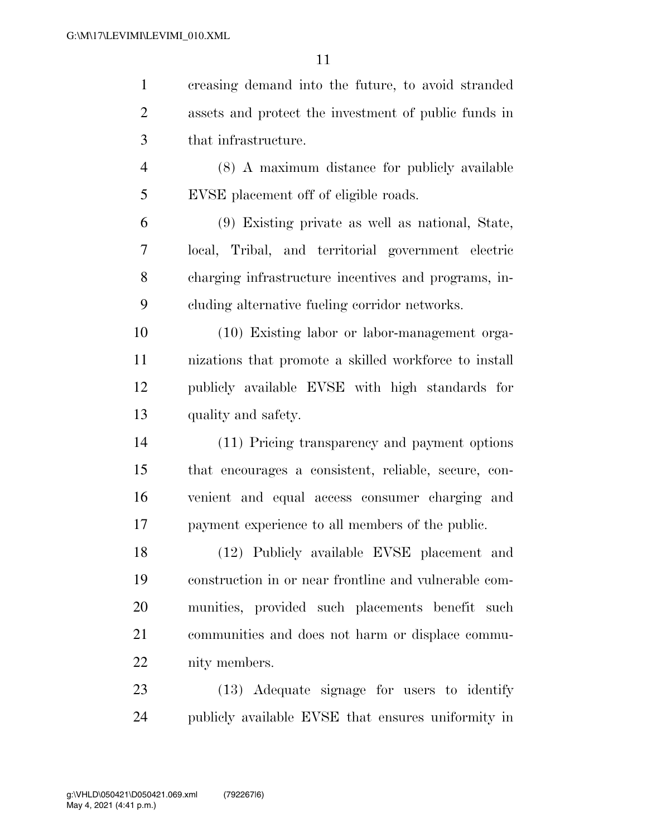|                | creasing demand into the future, to avoid stranded   |
|----------------|------------------------------------------------------|
| 2              | assets and protect the investment of public funds in |
| 3              | that infrastructure.                                 |
| $\overline{4}$ | (8) A maximum distance for publicly available        |
| 5              | EVSE placement off of eligible roads.                |
| 6              | (9) Existing private as well as national, State,     |
|                | local, Tribal, and territorial government electric   |

 charging infrastructure incentives and programs, in-cluding alternative fueling corridor networks.

 (10) Existing labor or labor-management orga- nizations that promote a skilled workforce to install publicly available EVSE with high standards for quality and safety.

 (11) Pricing transparency and payment options that encourages a consistent, reliable, secure, con- venient and equal access consumer charging and payment experience to all members of the public.

 (12) Publicly available EVSE placement and construction in or near frontline and vulnerable com- munities, provided such placements benefit such communities and does not harm or displace commu-nity members.

 (13) Adequate signage for users to identify publicly available EVSE that ensures uniformity in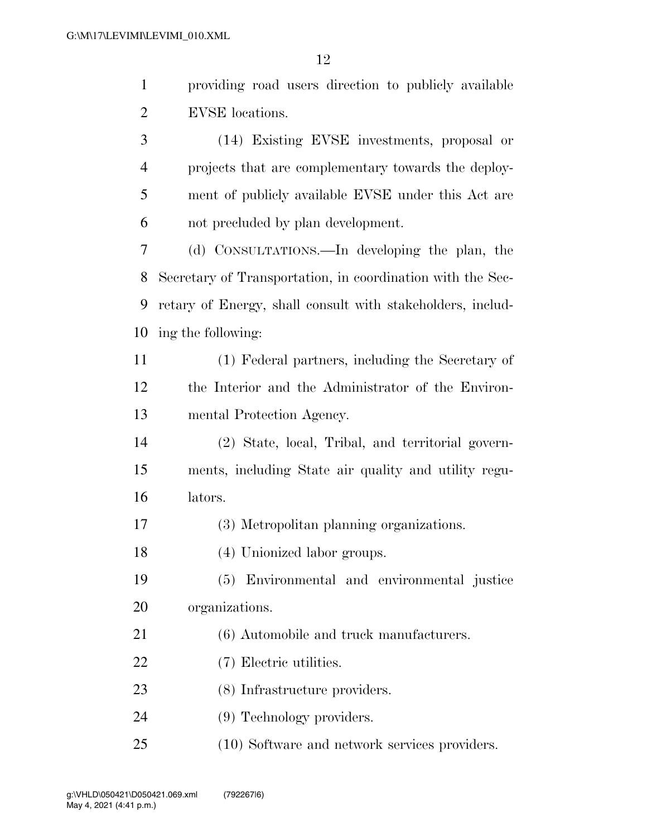| $\mathbf{1}$   | providing road users direction to publicly available       |
|----------------|------------------------------------------------------------|
| $\overline{2}$ | EVSE locations.                                            |
| 3              | (14) Existing EVSE investments, proposal or                |
| 4              | projects that are complementary towards the deploy-        |
| 5              | ment of publicly available EVSE under this Act are         |
| 6              | not precluded by plan development.                         |
| 7              | (d) CONSULTATIONS.—In developing the plan, the             |
| 8              | Secretary of Transportation, in coordination with the Sec- |
| 9              | retary of Energy, shall consult with stakeholders, includ- |
| 10             | ing the following:                                         |
| 11             | (1) Federal partners, including the Secretary of           |
| 12             | the Interior and the Administrator of the Environ-         |
| 13             | mental Protection Agency.                                  |
| 14             | (2) State, local, Tribal, and territorial govern-          |
| 15             | ments, including State air quality and utility regu-       |
| 16             | lators.                                                    |
| 17             | (3) Metropolitan planning organizations.                   |
| 18             | (4) Unionized labor groups.                                |
| 19             | Environmental and environmental justice<br>(5)             |
| 20             | organizations.                                             |
| 21             | (6) Automobile and truck manufacturers.                    |
| 22             | (7) Electric utilities.                                    |
| 23             | (8) Infrastructure providers.                              |
| 24             | (9) Technology providers.                                  |
| 25             | (10) Software and network services providers.              |
|                |                                                            |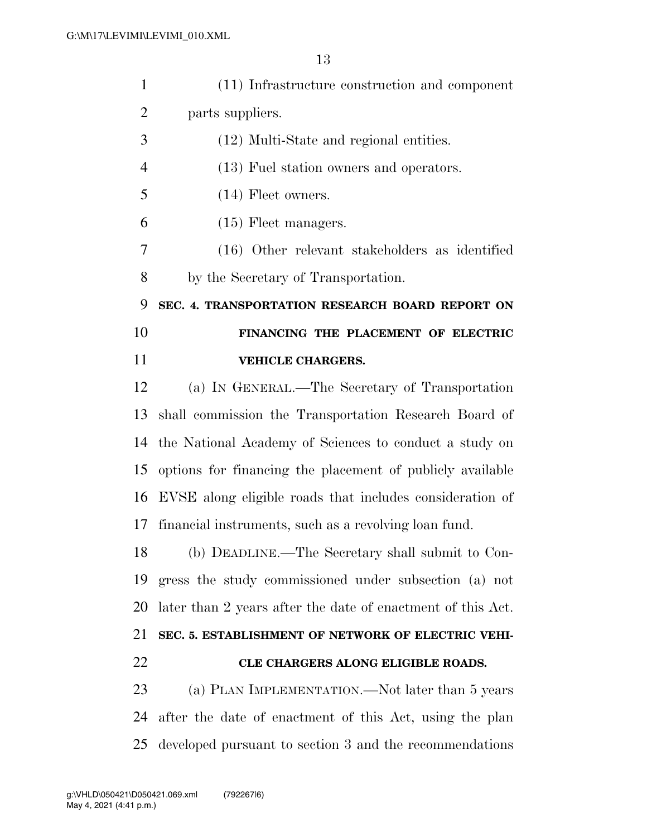| $\mathbf{1}$   | (11) Infrastructure construction and component              |
|----------------|-------------------------------------------------------------|
| $\overline{2}$ | parts suppliers.                                            |
| 3              | (12) Multi-State and regional entities.                     |
| $\overline{4}$ | (13) Fuel station owners and operators.                     |
| 5              | $(14)$ Fleet owners.                                        |
| 6              | $(15)$ Fleet managers.                                      |
| 7              | (16) Other relevant stakeholders as identified              |
| 8              | by the Secretary of Transportation.                         |
| 9              | SEC. 4. TRANSPORTATION RESEARCH BOARD REPORT ON             |
| 10             | FINANCING THE PLACEMENT OF ELECTRIC                         |
| 11             | <b>VEHICLE CHARGERS.</b>                                    |
| 12             | (a) IN GENERAL.—The Secretary of Transportation             |
| 13             | shall commission the Transportation Research Board of       |
| 14             | the National Academy of Sciences to conduct a study on      |
| 15             | options for financing the placement of publicly available   |
| 16             | EVSE along eligible roads that includes consideration of    |
| 17             | financial instruments, such as a revolving loan fund.       |
| 18             | (b) DEADLINE.—The Secretary shall submit to Con-            |
| 19             | gress the study commissioned under subsection (a) not       |
| 20             | later than 2 years after the date of enactment of this Act. |
| 21             | SEC. 5. ESTABLISHMENT OF NETWORK OF ELECTRIC VEHI-          |
| 22             | CLE CHARGERS ALONG ELIGIBLE ROADS.                          |
| 23             | (a) PLAN IMPLEMENTATION.—Not later than 5 years             |
| 24             | after the date of enactment of this Act, using the plan     |
| 25             | developed pursuant to section 3 and the recommendations     |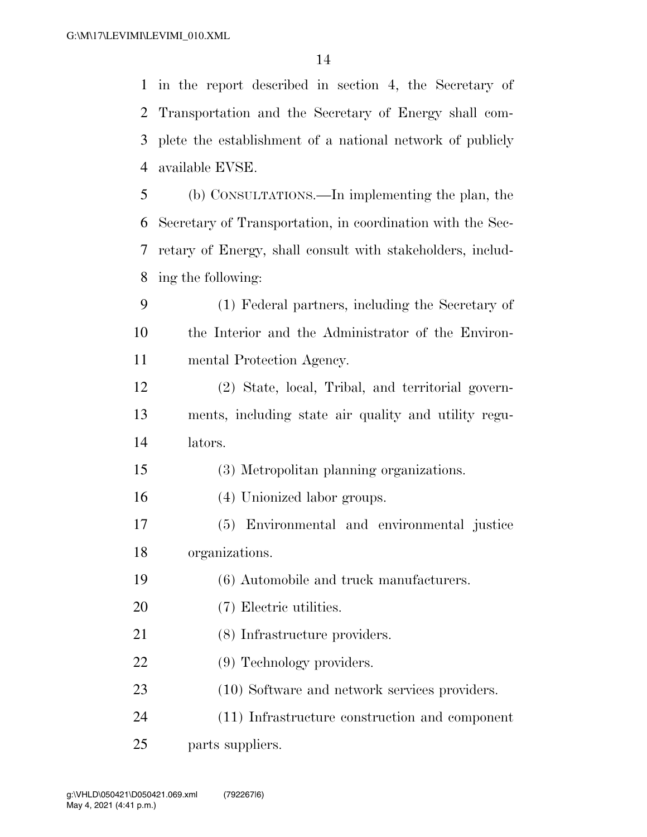in the report described in section 4, the Secretary of

|                | 2 Transportation and the Secretary of Energy shall com-    |
|----------------|------------------------------------------------------------|
| 3              | plete the establishment of a national network of publicly  |
| $\overline{4}$ | available EVSE.                                            |
| 5              | (b) CONSULTATIONS.—In implementing the plan, the           |
| 6              | Secretary of Transportation, in coordination with the Sec- |
| 7              | retary of Energy, shall consult with stakeholders, includ- |
| 8              | ing the following:                                         |
| 9              | (1) Federal partners, including the Secretary of           |
| 10             | the Interior and the Administrator of the Environ-         |
| 11             | mental Protection Agency.                                  |
| 12             | (2) State, local, Tribal, and territorial govern-          |
| 13             | ments, including state air quality and utility regu-       |
| 14             | lators.                                                    |
| 15             | (3) Metropolitan planning organizations.                   |
| 16             | (4) Unionized labor groups.                                |
| 17             | (5) Environmental and environmental justice                |
| 18             | organizations.                                             |
| 19             | (6) Automobile and truck manufacturers.                    |
| 20             | (7) Electric utilities.                                    |
| 21             | (8) Infrastructure providers.                              |
| 22             | (9) Technology providers.                                  |
| 23             | (10) Software and network services providers.              |
| 24             | (11) Infrastructure construction and component             |

parts suppliers.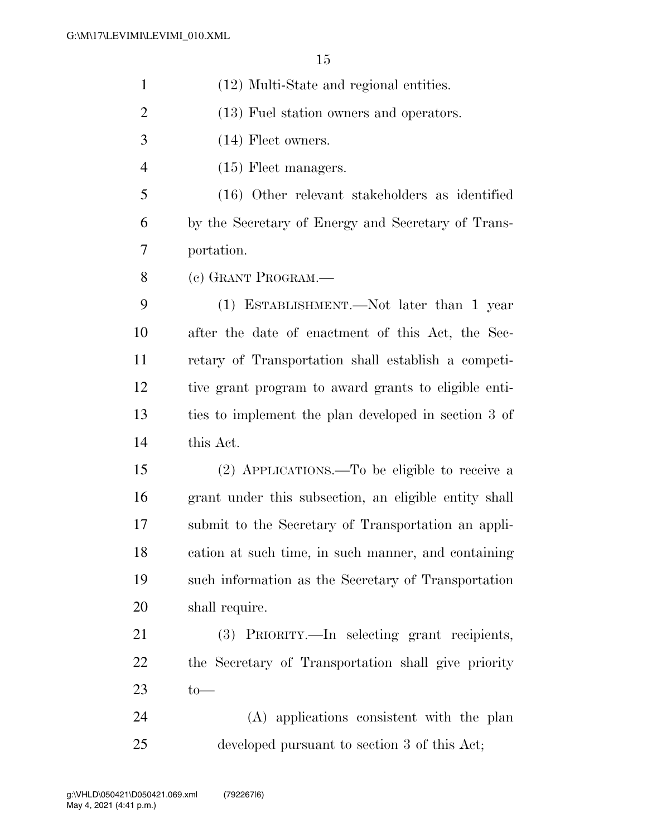(12) Multi-State and regional entities. (13) Fuel station owners and operators. (14) Fleet owners. 4 (15) Fleet managers. (16) Other relevant stakeholders as identified by the Secretary of Energy and Secretary of Trans- portation. (c) GRANT PROGRAM.— (1) ESTABLISHMENT.—Not later than 1 year after the date of enactment of this Act, the Sec- retary of Transportation shall establish a competi- tive grant program to award grants to eligible enti- ties to implement the plan developed in section 3 of this Act. (2) APPLICATIONS.—To be eligible to receive a grant under this subsection, an eligible entity shall submit to the Secretary of Transportation an appli- cation at such time, in such manner, and containing such information as the Secretary of Transportation shall require. (3) PRIORITY.—In selecting grant recipients, the Secretary of Transportation shall give priority to— (A) applications consistent with the plan developed pursuant to section 3 of this Act;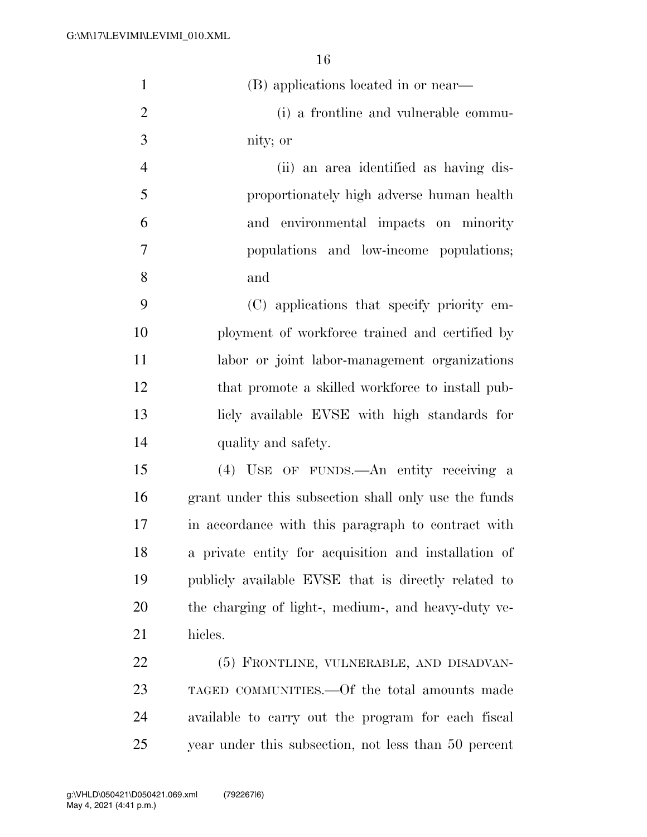| $\mathbf{1}$   | (B) applications located in or near—                 |
|----------------|------------------------------------------------------|
| $\overline{2}$ | (i) a frontline and vulnerable commu-                |
| 3              | nity; or                                             |
| $\overline{4}$ | (ii) an area identified as having dis-               |
| 5              | proportionately high adverse human health            |
| 6              | and environmental impacts on minority                |
| 7              | populations and low-income populations;              |
| 8              | and                                                  |
| 9              | (C) applications that specify priority em-           |
| 10             | ployment of workforce trained and certified by       |
| 11             | labor or joint labor-management organizations        |
| 12             | that promote a skilled workforce to install pub-     |
| 13             | licly available EVSE with high standards for         |
| 14             | quality and safety.                                  |
| 15             | (4) USE OF FUNDS.—An entity receiving a              |
| 16             | grant under this subsection shall only use the funds |
| 17             | in accordance with this paragraph to contract with   |
| 18             | a private entity for acquisition and installation of |
| 19             | publicly available EVSE that is directly related to  |
| 20             | the charging of light-, medium-, and heavy-duty ve-  |
| 21             | hicles.                                              |
| 22             | (5) FRONTLINE, VULNERABLE, AND DISADVAN-             |
| 23             | TAGED COMMUNITIES.—Of the total amounts made         |
| 24             | available to carry out the program for each fiscal   |
| 25             | year under this subsection, not less than 50 percent |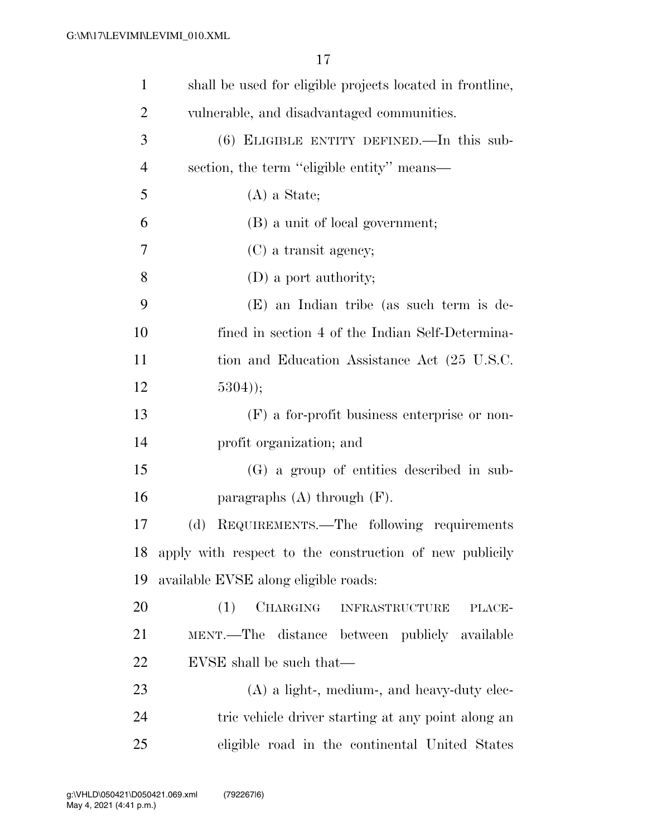| $\mathbf{1}$   | shall be used for eligible projects located in frontline, |
|----------------|-----------------------------------------------------------|
| $\overline{2}$ | vulnerable, and disadvantaged communities.                |
| 3              | $(6)$ ELIGIBLE ENTITY DEFINED.—In this sub-               |
| $\overline{4}$ | section, the term "eligible entity" means—                |
| 5              | $(A)$ a State;                                            |
| 6              | (B) a unit of local government;                           |
| 7              | $(C)$ a transit agency;                                   |
| 8              | (D) a port authority;                                     |
| 9              | (E) an Indian tribe (as such term is de-                  |
| 10             | fined in section 4 of the Indian Self-Determina-          |
| 11             | tion and Education Assistance Act (25 U.S.C.              |
| 12             | $5304$ );                                                 |
| 13             | $(F)$ a for-profit business enterprise or non-            |
| 14             | profit organization; and                                  |
| 15             | (G) a group of entities described in sub-                 |
| 16             | paragraphs $(A)$ through $(F)$ .                          |
| 17             | REQUIREMENTS.—The following requirements<br>(d)           |
| 18             | apply with respect to the construction of new publicity   |
| 19             | available EVSE along eligible roads:                      |
| 20             | CHARGING<br>(1)<br><b>INFRASTRUCTURE</b><br>PLACE-        |
| 21             | MENT.—The distance between publicly available             |
| 22             | EVSE shall be such that—                                  |
| 23             | $(A)$ a light-, medium-, and heavy-duty elec-             |
| 24             | tric vehicle driver starting at any point along an        |
| 25             | eligible road in the continental United States            |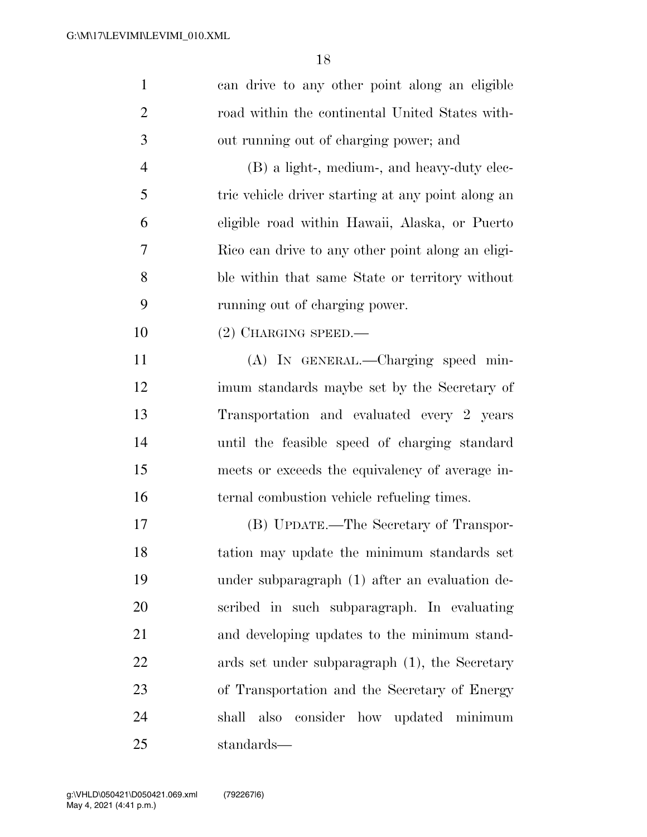| $\mathbf{1}$   | can drive to any other point along an eligible     |
|----------------|----------------------------------------------------|
| $\overline{2}$ | road within the continental United States with-    |
| 3              | out running out of charging power; and             |
| $\overline{4}$ | (B) a light-, medium-, and heavy-duty elec-        |
| 5              | tric vehicle driver starting at any point along an |
| 6              | eligible road within Hawaii, Alaska, or Puerto     |
| $\tau$         | Rico can drive to any other point along an eligi-  |
| 8              | ble within that same State or territory without    |
| 9              | running out of charging power.                     |
| 10             | $(2)$ CHARGING SPEED.—                             |
| 11             | (A) IN GENERAL.—Charging speed min-                |
| 12             | imum standards maybe set by the Secretary of       |
| 13             | Transportation and evaluated every 2 years         |
| 14             | until the feasible speed of charging standard      |
| 15             | meets or exceeds the equivalency of average in-    |
| 16             | ternal combustion vehicle refueling times.         |
| 17             | (B) UPDATE.—The Secretary of Transpor-             |
| 18             | tation may update the minimum standards set        |
| 19             | under subparagraph (1) after an evaluation de-     |
| 20             | scribed in such subparagraph. In evaluating        |
| 21             | and developing updates to the minimum stand-       |
| 22             | ards set under subparagraph (1), the Secretary     |
| 23             | of Transportation and the Secretary of Energy      |
| 24             | also consider how updated minimum<br>shall         |
| 25             | standards—                                         |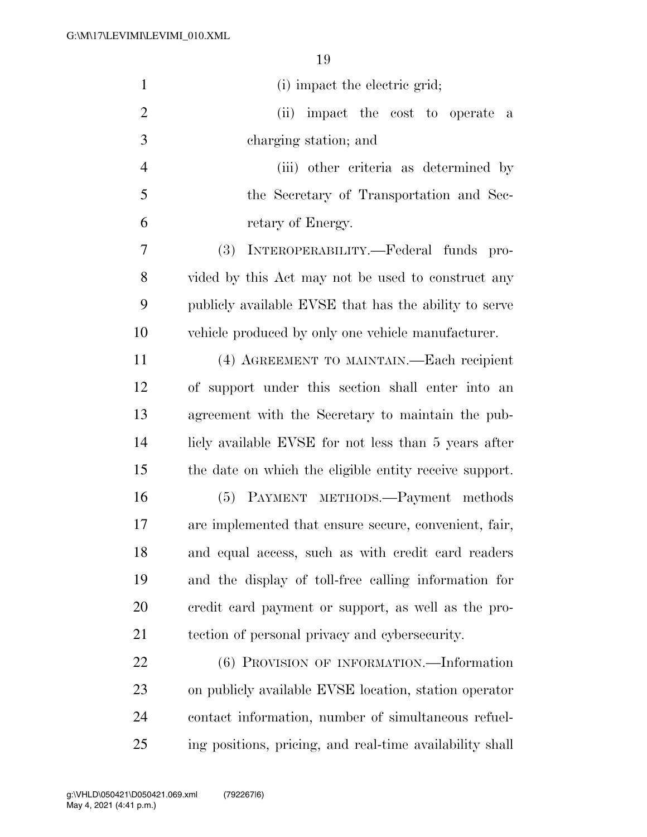| $\mathbf{1}$   | (i) impact the electric grid;                            |
|----------------|----------------------------------------------------------|
| $\overline{2}$ | (ii) impact the cost to operate<br>a                     |
| 3              | charging station; and                                    |
| $\overline{4}$ | (iii) other criteria as determined by                    |
| 5              | the Secretary of Transportation and Sec-                 |
| 6              | retary of Energy.                                        |
| 7              | (3)<br>INTEROPERABILITY.—Federal funds pro-              |
| 8              | vided by this Act may not be used to construct any       |
| 9              | publicly available EVSE that has the ability to serve    |
| 10             | vehicle produced by only one vehicle manufacturer.       |
| 11             | (4) AGREEMENT TO MAINTAIN.—Each recipient                |
| 12             | of support under this section shall enter into an        |
| 13             | agreement with the Secretary to maintain the pub-        |
| 14             | licly available EVSE for not less than 5 years after     |
| 15             | the date on which the eligible entity receive support.   |
| 16             | (5) PAYMENT METHODS.—Payment methods                     |
| 17             | are implemented that ensure secure, convenient, fair,    |
| 18             | and equal access, such as with credit card readers       |
| 19             | and the display of toll-free calling information for     |
| 20             | eredit card payment or support, as well as the pro-      |
| 21             | tection of personal privacy and cybersecurity.           |
| 22             | (6) PROVISION OF INFORMATION.—Information                |
| 23             | on publicly available EVSE location, station operator    |
| 24             | contact information, number of simultaneous refuel-      |
| 25             | ing positions, pricing, and real-time availability shall |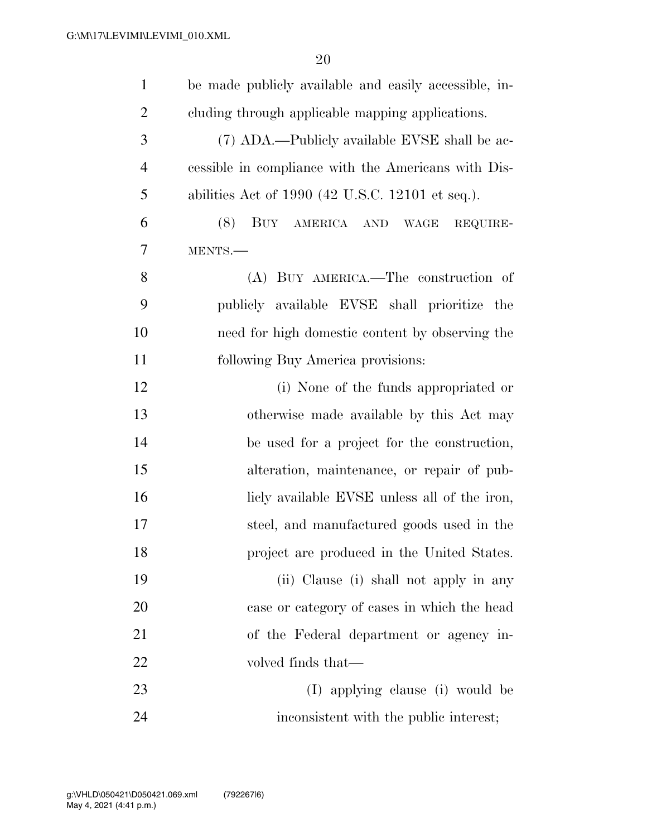| $\mathbf{1}$   | be made publicly available and easily accessible, in- |
|----------------|-------------------------------------------------------|
| $\overline{2}$ | cluding through applicable mapping applications.      |
| 3              | (7) ADA.—Publicly available EVSE shall be ac-         |
| $\overline{4}$ | essible in compliance with the Americans with Dis-    |
| 5              | abilities Act of 1990 (42 U.S.C. 12101 et seq.).      |
| 6              | (8)<br>BUY AMERICA AND WAGE<br>REQUIRE-               |
| 7              | MENTS.                                                |
| 8              | (A) BUY AMERICA.—The construction of                  |
| 9              | publicly available EVSE shall prioritize the          |
| 10             | need for high domestic content by observing the       |
| 11             | following Buy America provisions:                     |
| 12             | (i) None of the funds appropriated or                 |
| 13             | otherwise made available by this Act may              |
| 14             | be used for a project for the construction,           |
| 15             | alteration, maintenance, or repair of pub-            |
| 16             | licly available EVSE unless all of the iron,          |
| 17             | steel, and manufactured goods used in the             |
| 18             | project are produced in the United States.            |
| 19             | (ii) Clause (i) shall not apply in any                |
| 20             | case or category of cases in which the head           |
| 21             | of the Federal department or agency in-               |
| 22             | volved finds that—                                    |
| 23             | (I) applying clause (i) would be                      |
| 24             | inconsistent with the public interest;                |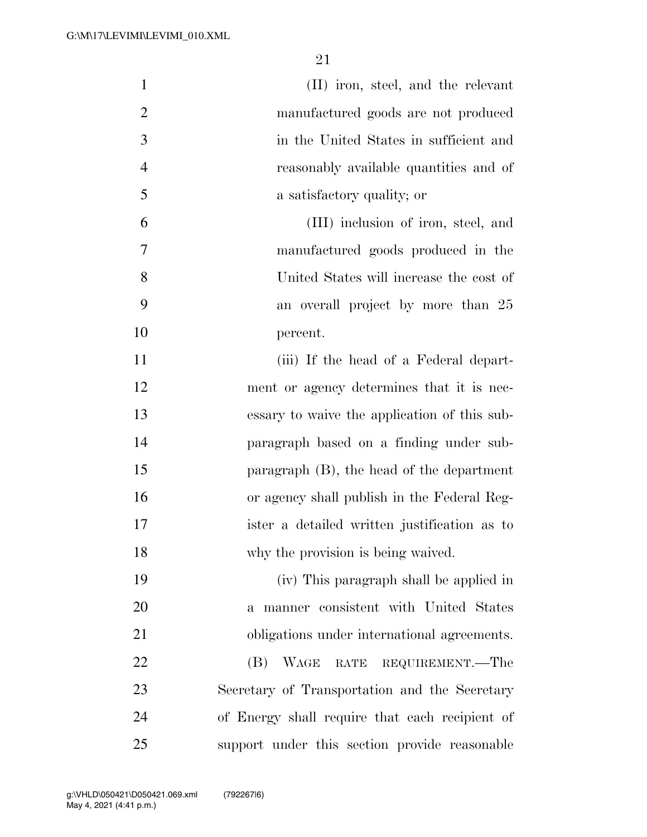| $\mathbf{1}$   | (II) iron, steel, and the relevant             |
|----------------|------------------------------------------------|
| $\overline{2}$ | manufactured goods are not produced            |
| 3              | in the United States in sufficient and         |
| $\overline{4}$ | reasonably available quantities and of         |
| 5              | a satisfactory quality; or                     |
| 6              | (III) inclusion of iron, steel, and            |
| 7              | manufactured goods produced in the             |
| 8              | United States will increase the cost of        |
| 9              | an overall project by more than 25             |
| 10             | percent.                                       |
| 11             | (iii) If the head of a Federal depart-         |
| 12             | ment or agency determines that it is nec-      |
| 13             | essary to waive the application of this sub-   |
| 14             | paragraph based on a finding under sub-        |
| 15             | paragraph $(B)$ , the head of the department   |
| 16             | or agency shall publish in the Federal Reg-    |
| 17             | ister a detailed written justification as to   |
| 18             | why the provision is being waived.             |
| 19             | (iv) This paragraph shall be applied in        |
| 20             | a manner consistent with United States         |
| 21             | obligations under international agreements.    |
| 22             | <b>WAGE</b><br>RATE REQUIREMENT.—The<br>(B)    |
| 23             | Secretary of Transportation and the Secretary  |
| 24             | of Energy shall require that each recipient of |
| 25             | support under this section provide reasonable  |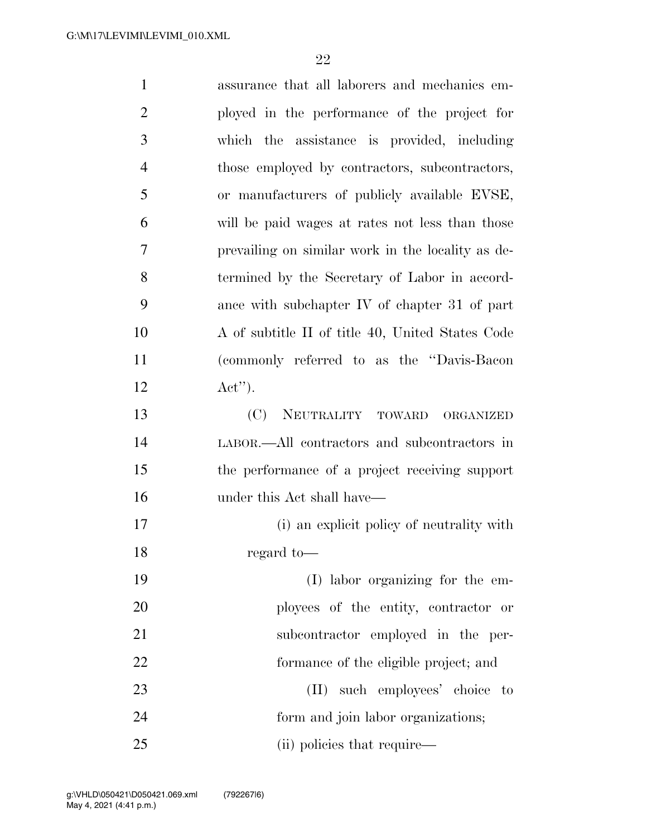| $\mathbf{1}$   | assurance that all laborers and mechanics em-     |
|----------------|---------------------------------------------------|
| $\overline{2}$ | ployed in the performance of the project for      |
| 3              | which the assistance is provided, including       |
| $\overline{4}$ | those employed by contractors, subcontractors,    |
| 5              | or manufacturers of publicly available EVSE,      |
| 6              | will be paid wages at rates not less than those   |
| 7              | prevailing on similar work in the locality as de- |
| 8              | termined by the Secretary of Labor in accord-     |
| 9              | ance with subchapter IV of chapter 31 of part     |
| 10             | A of subtitle II of title 40, United States Code  |
| 11             | (commonly referred to as the "Davis-Bacon"        |
| 12             | $\text{Act}^{\prime\prime}$ .                     |
| 13             | (C)<br>NEUTRALITY TOWARD<br>ORGANIZED             |
| 14             | LABOR.—All contractors and subcontractors in      |
| 15             | the performance of a project receiving support    |
| 16             | under this Act shall have—                        |
| 17             | (i) an explicit policy of neutrality with         |
| 18             | regard to-                                        |
| 19             | (I) labor organizing for the em-                  |
| 20             | ployees of the entity, contractor or              |
| 21             | subcontractor employed in the per-                |
| 22             | formance of the eligible project; and             |
| 23             | (II) such employees' choice to                    |
| 24             | form and join labor organizations;                |
| 25             | (ii) policies that require—                       |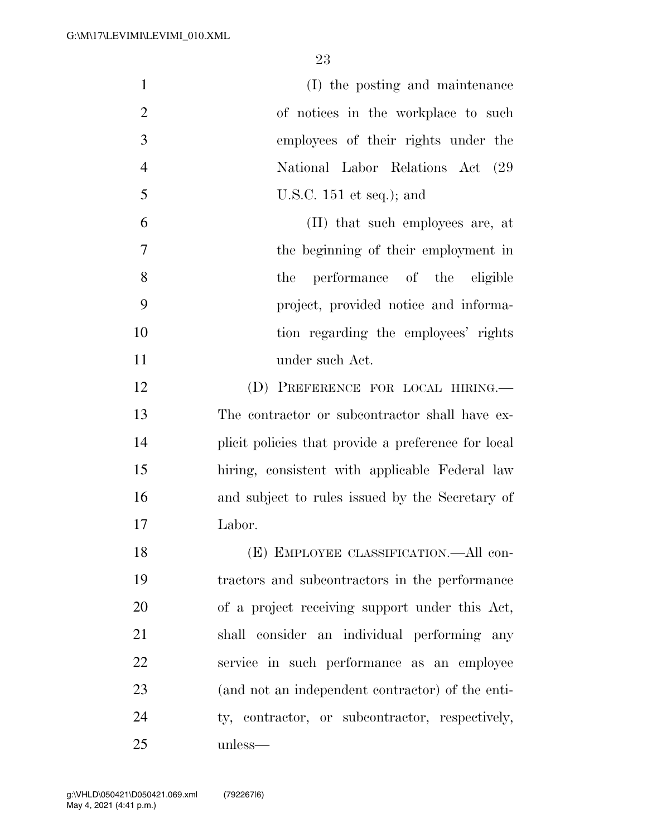| $\mathbf{1}$   | (I) the posting and maintenance                     |
|----------------|-----------------------------------------------------|
| $\overline{2}$ | of notices in the workplace to such                 |
| 3              | employees of their rights under the                 |
| $\overline{4}$ | National Labor Relations Act (29)                   |
| 5              | U.S.C. $151$ et seq.); and                          |
| 6              | (II) that such employees are, at                    |
| 7              | the beginning of their employment in                |
| 8              | performance of the eligible<br>the                  |
| 9              | project, provided notice and informa-               |
| 10             | tion regarding the employees' rights                |
| 11             | under such Act.                                     |
| 12             | (D) PREFERENCE FOR LOCAL HIRING.                    |
| 13             | The contractor or subcontractor shall have ex-      |
| 14             | plicit policies that provide a preference for local |
| 15             | hiring, consistent with applicable Federal law      |
| 16             | and subject to rules issued by the Secretary of     |
| 17             | Labor.                                              |
| 18             | (E) EMPLOYEE CLASSIFICATION.—All con-               |
| 19             | tractors and subcontractors in the performance      |
| 20             | of a project receiving support under this Act,      |
| 21             | shall consider an individual performing any         |
| 22             | service in such performance as an employee          |
| 23             | (and not an independent contractor) of the enti-    |
| 24             | ty, contractor, or subcontractor, respectively,     |
| 25             | unless—                                             |